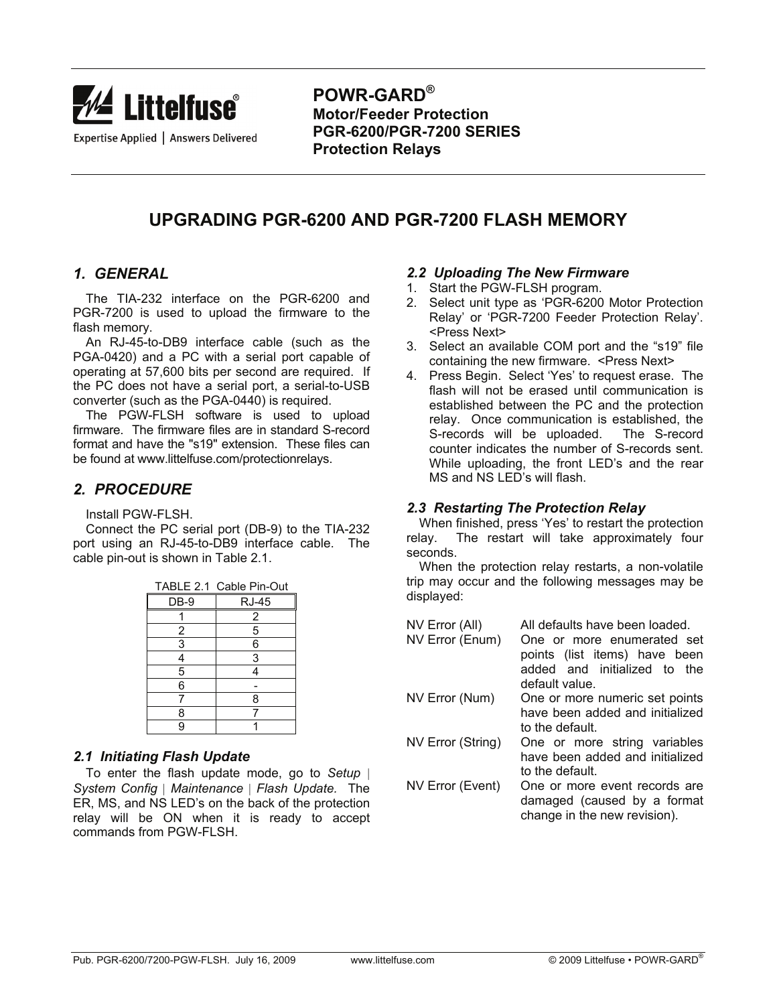

**POWR-GARD® Motor/Feeder Protection PGR-6200/PGR-7200 SERIES Protection Relays** 

# **UPGRADING PGR-6200 AND PGR-7200 FLASH MEMORY**

#### *1. GENERAL*

 The TIA-232 interface on the PGR-6200 and PGR-7200 is used to upload the firmware to the flash memory.

 An RJ-45-to-DB9 interface cable (such as the PGA-0420) and a PC with a serial port capable of operating at 57,600 bits per second are required. If the PC does not have a serial port, a serial-to-USB converter (such as the PGA-0440) is required.

 The PGW-FLSH software is used to upload firmware. The firmware files are in standard S-record format and have the "s19" extension. These files can be found at www.littelfuse.com/protectionrelays.

## *2. PROCEDURE*

Install PGW-FLSH.

 Connect the PC serial port (DB-9) to the TIA-232 port using an RJ-45-to-DB9 interface cable. The cable pin-out is shown in Table 2.1.

|                | TABLE 2.1 Cable Pin-Out |
|----------------|-------------------------|
| DB-9           | <b>RJ-45</b>            |
|                | 2                       |
| $\overline{c}$ | 5                       |
| 3              | 6                       |
| 4              | 3                       |
| 5              |                         |
| 6              |                         |
|                | 8                       |
| 8              |                         |
| g              |                         |

### *2.1 Initiating Flash Update*

 To enter the flash update mode, go to *Setup* | *System Config* | *Maintenance* | *Flash Update.* The ER, MS, and NS LED's on the back of the protection relay will be ON when it is ready to accept commands from PGW-FLSH.

#### *2.2 Uploading The New Firmware*

- 1. Start the PGW-FLSH program.
- 2. Select unit type as 'PGR-6200 Motor Protection Relay' or 'PGR-7200 Feeder Protection Relay'. <Press Next>
- 3. Select an available COM port and the "s19" file containing the new firmware. <Press Next>
- 4. Press Begin. Select 'Yes' to request erase. The flash will not be erased until communication is established between the PC and the protection relay. Once communication is established, the S-records will be uploaded. The S-record counter indicates the number of S-records sent. While uploading, the front LED's and the rear MS and NS LED's will flash.

#### *2.3 Restarting The Protection Relay*

 When finished, press 'Yes' to restart the protection relay. The restart will take approximately four seconds.

 When the protection relay restarts, a non-volatile trip may occur and the following messages may be displayed:

| NV Error (All)<br>NV Error (Enum) | All defaults have been loaded.<br>One or more enumerated set<br>points (list items) have been<br>added and initialized to<br>the<br>default value. |
|-----------------------------------|----------------------------------------------------------------------------------------------------------------------------------------------------|
| NV Error (Num)                    | One or more numeric set points<br>have been added and initialized<br>to the default.                                                               |
| NV Error (String)                 | One or more string variables<br>have been added and initialized<br>to the default.                                                                 |
| NV Error (Event)                  | One or more event records are<br>damaged (caused by a format<br>change in the new revision).                                                       |